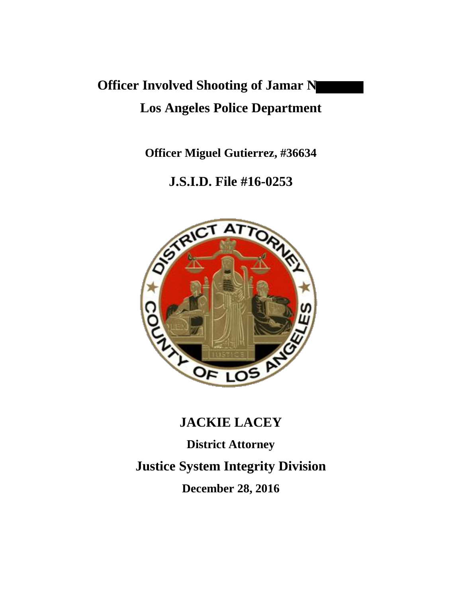# **Officer Involved Shooting of Jamar N Los Angeles Police Department**

**Officer Miguel Gutierrez, #36634**

# **J.S.I.D. File #16-0253**



# **JACKIE LACEY**

**District Attorney Justice System Integrity Division December 28, 2016**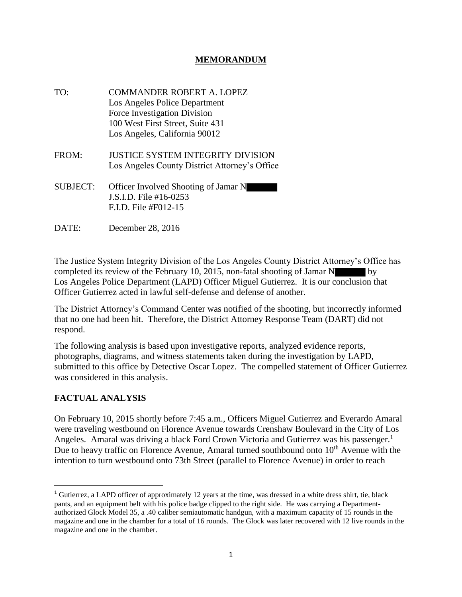#### **MEMORANDUM**

- TO: COMMANDER ROBERT A. LOPEZ Los Angeles Police Department Force Investigation Division 100 West First Street, Suite 431 Los Angeles, California 90012
- FROM: JUSTICE SYSTEM INTEGRITY DIVISION Los Angeles County District Attorney's Office
- SUBJECT: Officer Involved Shooting of Jamar N J.S.I.D. File #16-0253 F.I.D. File #F012-15
- DATE: December 28, 2016

The Justice System Integrity Division of the Los Angeles County District Attorney's Office has completed its review of the February 10, 2015, non-fatal shooting of Jamar N by Los Angeles Police Department (LAPD) Officer Miguel Gutierrez. It is our conclusion that Officer Gutierrez acted in lawful self-defense and defense of another.

The District Attorney's Command Center was notified of the shooting, but incorrectly informed that no one had been hit. Therefore, the District Attorney Response Team (DART) did not respond.

The following analysis is based upon investigative reports, analyzed evidence reports, photographs, diagrams, and witness statements taken during the investigation by LAPD, submitted to this office by Detective Oscar Lopez. The compelled statement of Officer Gutierrez was considered in this analysis.

#### **FACTUAL ANALYSIS**

On February 10, 2015 shortly before 7:45 a.m., Officers Miguel Gutierrez and Everardo Amaral were traveling westbound on Florence Avenue towards Crenshaw Boulevard in the City of Los Angeles. Amaral was driving a black Ford Crown Victoria and Gutierrez was his passenger.<sup>1</sup> Due to heavy traffic on Florence Avenue, Amaral turned southbound onto  $10<sup>th</sup>$  Avenue with the intention to turn westbound onto 73th Street (parallel to Florence Avenue) in order to reach

<sup>&</sup>lt;sup>1</sup> Gutierrez, a LAPD officer of approximately 12 years at the time, was dressed in a white dress shirt, tie, black pants, and an equipment belt with his police badge clipped to the right side. He was carrying a Departmentauthorized Glock Model 35, a .40 caliber semiautomatic handgun, with a maximum capacity of 15 rounds in the magazine and one in the chamber for a total of 16 rounds. The Glock was later recovered with 12 live rounds in the magazine and one in the chamber.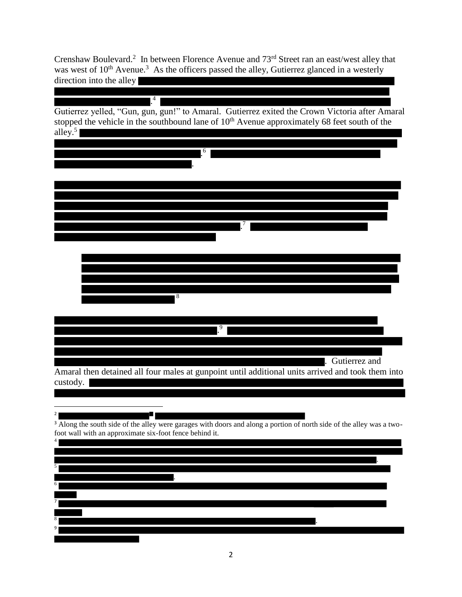Crenshaw Boulevard.<sup>2</sup> In between Florence Avenue and  $73<sup>rd</sup>$  Street ran an east/west alley that was west of  $10^{th}$  Avenue.<sup>3</sup> As the officers passed the alley, Gutierrez glanced in a westerly direction into the alley

. 4 Gutierrez yelled, "Gun, gun, gun!" to Amaral. Gutierrez exited the Crown Victoria after Amaral stopped the vehicle in the southbound lane of  $10<sup>th</sup>$  Avenue approximately 68 feet south of the alley. 5

| 6                                                                                                                                |
|----------------------------------------------------------------------------------------------------------------------------------|
|                                                                                                                                  |
|                                                                                                                                  |
|                                                                                                                                  |
|                                                                                                                                  |
| 7                                                                                                                                |
|                                                                                                                                  |
|                                                                                                                                  |
|                                                                                                                                  |
|                                                                                                                                  |
| 8                                                                                                                                |
|                                                                                                                                  |
| 9                                                                                                                                |
|                                                                                                                                  |
|                                                                                                                                  |
| Gutierrez and<br>$\overline{\phantom{a}}$                                                                                        |
| Amaral then detained all four males at gunpoint until additional units arrived and took them into<br>custody.                    |
|                                                                                                                                  |
|                                                                                                                                  |
| <sup>3</sup> Along the south side of the alley were garages with doors and along a portion of north side of the alley was a two- |
| foot wall with an approximate six-foot fence behind it.                                                                          |
|                                                                                                                                  |
|                                                                                                                                  |

. 6 7 8 . 9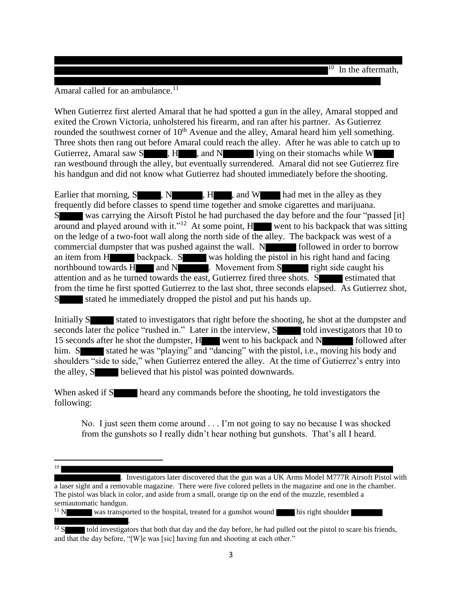Amaral called for an ambulance.<sup>11</sup>

When Gutierrez first alerted Amaral that he had spotted a gun in the alley, Amaral stopped and exited the Crown Victoria, unholstered his firearm, and ran after his partner. As Gutierrez rounded the southwest corner of 10<sup>th</sup> Avenue and the alley, Amaral heard him yell something. Three shots then rang out before Amaral could reach the alley. After he was able to catch up to Gutierrez, Amaral saw S , H, and N lying on their stomachs while W ran westbound through the alley, but eventually surrendered. Amaral did not see Gutierrez fire his handgun and did not know what Gutierrez had shouted immediately before the shooting.

Earlier that morning,  $S \rightarrow N \rightarrow H \rightarrow$ , and  $W \rightarrow$  had met in the alley as they frequently did before classes to spend time together and smoke cigarettes and marijuana. S was carrying the Airsoft Pistol he had purchased the day before and the four "passed [it] around and played around with it."<sup>12</sup> At some point,  $H$  went to his backpack that was sitting on the ledge of a two-foot wall along the north side of the alley. The backpack was west of a commercial dumpster that was pushed against the wall.  $N$  followed in order to borrow an item from H backpack. S was holding the pistol in his right hand and facing northbound towards H and N . Movement from S right side caught his attention and as he turned towards the east, Gutierrez fired three shots. S estimated that from the time he first spotted Gutierrez to the last shot, three seconds elapsed. As Gutierrez shot, S stated he immediately dropped the pistol and put his hands up.

Initially S stated to investigators that right before the shooting, he shot at the dumpster and seconds later the police "rushed in." Later in the interview, S told investigators that 10 to 15 seconds after he shot the dumpster, H went to his backpack and N followed after him. S stated he was "playing" and "dancing" with the pistol, i.e., moving his body and shoulders "side to side," when Gutierrez entered the alley. At the time of Gutierrez's entry into the alley, S believed that his pistol was pointed downwards.

When asked if S heard any commands before the shooting, he told investigators the following:

No. I just seen them come around . . . I'm not going to say no because I was shocked from the gunshots so I really didn't hear nothing but gunshots. That's all I heard.

. Investigators later discovered that the gun was a UK Arms Model M777R Airsoft Pistol with

a laser sight and a removable magazine. There were five colored pellets in the magazine and one in the chamber. The pistol was black in color, and aside from a small, orange tip on the end of the muzzle, resembled a semiautomatic handgun.

 $11$  N was transported to the hospital, treated for a gunshot wound his right shoulder .

 $\overline{\phantom{a}}$ 10

told investigators that both that day and the day before, he had pulled out the pistol to scare his friends, and that the day before, "[W]e was [sic] having fun and shooting at each other."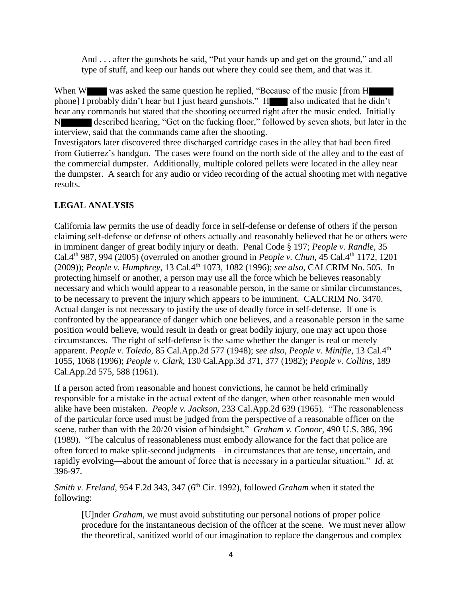And . . . after the gunshots he said, "Put your hands up and get on the ground," and all type of stuff, and keep our hands out where they could see them, and that was it.

When W was asked the same question he replied, "Because of the music [from H phone] I probably didn't hear but I just heard gunshots." H also indicated that he didn't hear any commands but stated that the shooting occurred right after the music ended. Initially N described hearing, "Get on the fucking floor," followed by seven shots, but later in the interview, said that the commands came after the shooting. Investigators later discovered three discharged cartridge cases in the alley that had been fired from Gutierrez's handgun. The cases were found on the north side of the alley and to the east of the commercial dumpster. Additionally, multiple colored pellets were located in the alley near the dumpster. A search for any audio or video recording of the actual shooting met with negative results.

### **LEGAL ANALYSIS**

California law permits the use of deadly force in self-defense or defense of others if the person claiming self-defense or defense of others actually and reasonably believed that he or others were in imminent danger of great bodily injury or death. Penal Code § 197; *People v. Randle*, 35 Cal.4<sup>th</sup> 987, 994 (2005) (overruled on another ground in *People v. Chun*, 45 Cal.4<sup>th</sup> 1172, 1201 (2009)); *People v. Humphrey*, 13 Cal.4th 1073, 1082 (1996); *see also*, CALCRIM No. 505. In protecting himself or another, a person may use all the force which he believes reasonably necessary and which would appear to a reasonable person, in the same or similar circumstances, to be necessary to prevent the injury which appears to be imminent. CALCRIM No. 3470. Actual danger is not necessary to justify the use of deadly force in self-defense. If one is confronted by the appearance of danger which one believes, and a reasonable person in the same position would believe, would result in death or great bodily injury, one may act upon those circumstances. The right of self-defense is the same whether the danger is real or merely apparent. *People v. Toledo*, 85 Cal.App.2d 577 (1948); *see also, People v. Minifie*, 13 Cal.4th 1055, 1068 (1996); *People v. Clark*, 130 Cal.App.3d 371, 377 (1982); *People v. Collins*, 189 Cal.App.2d 575, 588 (1961).

If a person acted from reasonable and honest convictions, he cannot be held criminally responsible for a mistake in the actual extent of the danger, when other reasonable men would alike have been mistaken. *People v. Jackson*, 233 Cal.App.2d 639 (1965). "The reasonableness of the particular force used must be judged from the perspective of a reasonable officer on the scene, rather than with the 20/20 vision of hindsight." *Graham v. Connor,* 490 U.S. 386, 396 (1989). "The calculus of reasonableness must embody allowance for the fact that police are often forced to make split-second judgments—in circumstances that are tense, uncertain, and rapidly evolving—about the amount of force that is necessary in a particular situation." *Id.* at 396-97.

*Smith v. Freland*, 954 F.2d 343, 347 (6<sup>th</sup> Cir. 1992), followed *Graham* when it stated the following:

[U]nder *Graham*, we must avoid substituting our personal notions of proper police procedure for the instantaneous decision of the officer at the scene. We must never allow the theoretical, sanitized world of our imagination to replace the dangerous and complex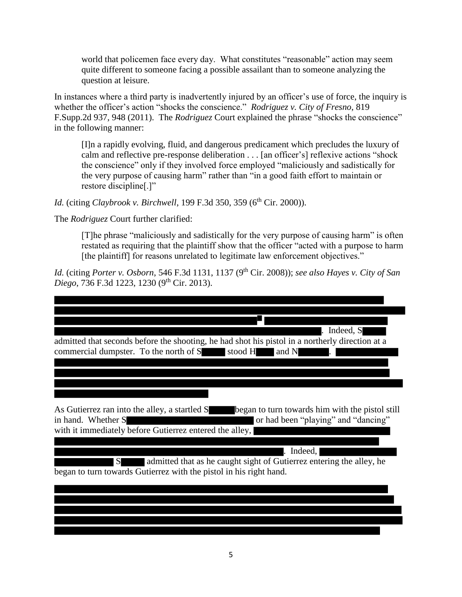world that policemen face every day. What constitutes "reasonable" action may seem quite different to someone facing a possible assailant than to someone analyzing the question at leisure.

In instances where a third party is inadvertently injured by an officer's use of force, the inquiry is whether the officer's action "shocks the conscience." *Rodriguez v. City of Fresno*, 819 F.Supp.2d 937, 948 (2011). The *Rodriguez* Court explained the phrase "shocks the conscience" in the following manner:

[I]n a rapidly evolving, fluid, and dangerous predicament which precludes the luxury of calm and reflective pre-response deliberation . . . [an officer's] reflexive actions "shock the conscience" only if they involved force employed "maliciously and sadistically for the very purpose of causing harm" rather than "in a good faith effort to maintain or restore discipline[.]"

*Id.* (citing *Claybrook v. Birchwell*, 199 F.3d 350, 359 (6<sup>th</sup> Cir. 2000)).

The *Rodriguez* Court further clarified:

[T]he phrase "maliciously and sadistically for the very purpose of causing harm" is often restated as requiring that the plaintiff show that the officer "acted with a purpose to harm [the plaintiff] for reasons unrelated to legitimate law enforcement objectives."

*Id.* (citing *Porter v. Osborn*, 546 F.3d 1131, 1137 (9th Cir. 2008)); *see also Hayes v. City of San Diego*, 736 F.3d 1223, 1230 (9<sup>th</sup> Cir. 2013).